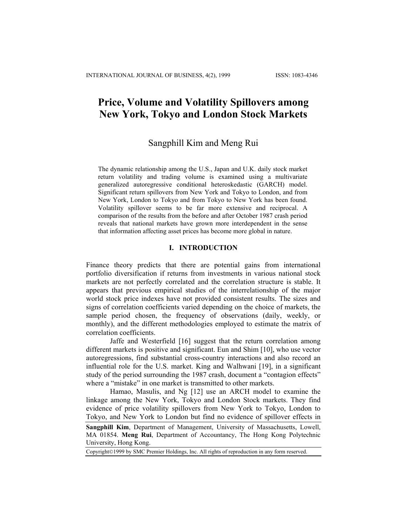# **Price, Volume and Volatility Spillovers among New York, Tokyo and London Stock Markets**

# Sangphill Kim and Meng Rui

The dynamic relationship among the U.S., Japan and U.K. daily stock market return volatility and trading volume is examined using a multivariate generalized autoregressive conditional heteroskedastic (GARCH) model. Significant return spillovers from New York and Tokyo to London, and from New York, London to Tokyo and from Tokyo to New York has been found. Volatility spillover seems to be far more extensive and reciprocal. A comparison of the results from the before and after October 1987 crash period reveals that national markets have grown more interdependent in the sense that information affecting asset prices has become more global in nature.

## **I. INTRODUCTION**

Finance theory predicts that there are potential gains from international portfolio diversification if returns from investments in various national stock markets are not perfectly correlated and the correlation structure is stable. It appears that previous empirical studies of the interrelationship of the major world stock price indexes have not provided consistent results. The sizes and signs of correlation coefficients varied depending on the choice of markets, the sample period chosen, the frequency of observations (daily, weekly, or monthly), and the different methodologies employed to estimate the matrix of correlation coefficients.

Jaffe and Westerfield [16] suggest that the return correlation among different markets is positive and significant. Eun and Shim [10], who use vector autoregressions, find substantial cross-country interactions and also record an influential role for the U.S. market. King and Walhwani [19], in a significant study of the period surrounding the 1987 crash, document a "contagion effects" where a "mistake" in one market is transmitted to other markets.

Hamao, Masulis, and Ng [12] use an ARCH model to examine the linkage among the New York, Tokyo and London Stock markets. They find evidence of price volatility spillovers from New York to Tokyo, London to Tokyo, and New York to London but find no evidence of spillover effects in

**Sangphill Kim**, Department of Management, University of Massachusetts, Lowell, MA 01854. **Meng Rui**, Department of Accountancy, The Hong Kong Polytechnic University, Hong Kong.

Copyright©1999 by SMC Premier Holdings, Inc. All rights of reproduction in any form reserved.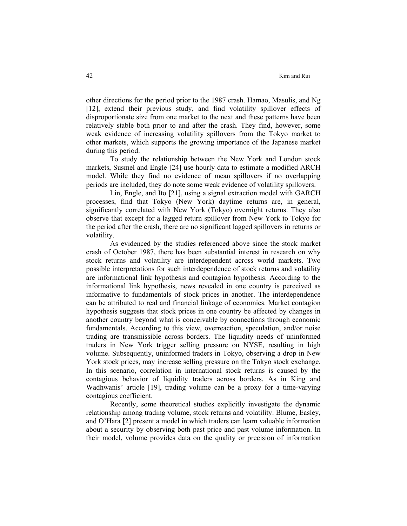other directions for the period prior to the 1987 crash. Hamao, Masulis, and Ng [12], extend their previous study, and find volatility spillover effects of disproportionate size from one market to the next and these patterns have been relatively stable both prior to and after the crash. They find, however, some weak evidence of increasing volatility spillovers from the Tokyo market to other markets, which supports the growing importance of the Japanese market during this period.

To study the relationship between the New York and London stock markets, Susmel and Engle [24] use hourly data to estimate a modified ARCH model. While they find no evidence of mean spillovers if no overlapping periods are included, they do note some weak evidence of volatility spillovers.

Lin, Engle, and Ito [21], using a signal extraction model with GARCH processes, find that Tokyo (New York) daytime returns are, in general, significantly correlated with New York (Tokyo) overnight returns. They also observe that except for a lagged return spillover from New York to Tokyo for the period after the crash, there are no significant lagged spillovers in returns or volatility.

As evidenced by the studies referenced above since the stock market crash of October 1987, there has been substantial interest in research on why stock returns and volatility are interdependent across world markets. Two possible interpretations for such interdependence of stock returns and volatility are informational link hypothesis and contagion hypothesis. According to the informational link hypothesis, news revealed in one country is perceived as informative to fundamentals of stock prices in another. The interdependence can be attributed to real and financial linkage of economies. Market contagion hypothesis suggests that stock prices in one country be affected by changes in another country beyond what is conceivable by connections through economic fundamentals. According to this view, overreaction, speculation, and/or noise trading are transmissible across borders. The liquidity needs of uninformed traders in New York trigger selling pressure on NYSE, resulting in high volume. Subsequently, uninformed traders in Tokyo, observing a drop in New York stock prices, may increase selling pressure on the Tokyo stock exchange. In this scenario, correlation in international stock returns is caused by the contagious behavior of liquidity traders across borders. As in King and Wadhwanis' article [19], trading volume can be a proxy for a time-varying contagious coefficient.

Recently, some theoretical studies explicitly investigate the dynamic relationship among trading volume, stock returns and volatility. Blume, Easley, and O'Hara [2] present a model in which traders can learn valuable information about a security by observing both past price and past volume information. In their model, volume provides data on the quality or precision of information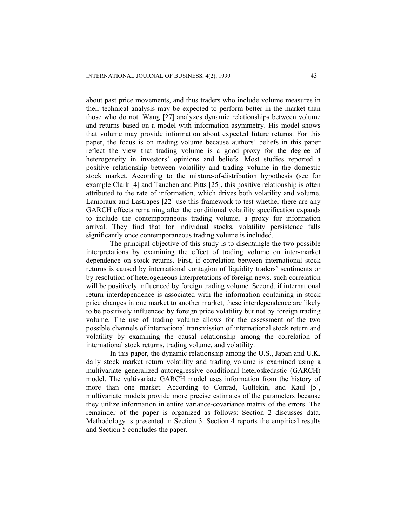about past price movements, and thus traders who include volume measures in their technical analysis may be expected to perform better in the market than those who do not. Wang [27] analyzes dynamic relationships between volume and returns based on a model with information asymmetry. His model shows that volume may provide information about expected future returns. For this paper, the focus is on trading volume because authors' beliefs in this paper reflect the view that trading volume is a good proxy for the degree of heterogeneity in investors' opinions and beliefs. Most studies reported a positive relationship between volatility and trading volume in the domestic stock market. According to the mixture-of-distribution hypothesis (see for example Clark [4] and Tauchen and Pitts [25], this positive relationship is often attributed to the rate of information, which drives both volatility and volume. Lamoraux and Lastrapes [22] use this framework to test whether there are any GARCH effects remaining after the conditional volatility specification expands to include the contemporaneous trading volume, a proxy for information arrival. They find that for individual stocks, volatility persistence falls significantly once contemporaneous trading volume is included.

The principal objective of this study is to disentangle the two possible interpretations by examining the effect of trading volume on inter-market dependence on stock returns. First, if correlation between international stock returns is caused by international contagion of liquidity traders' sentiments or by resolution of heterogeneous interpretations of foreign news, such correlation will be positively influenced by foreign trading volume. Second, if international return interdependence is associated with the information containing in stock price changes in one market to another market, these interdependence are likely to be positively influenced by foreign price volatility but not by foreign trading volume. The use of trading volume allows for the assessment of the two possible channels of international transmission of international stock return and volatility by examining the causal relationship among the correlation of international stock returns, trading volume, and volatility.

In this paper, the dynamic relationship among the U.S., Japan and U.K. daily stock market return volatility and trading volume is examined using a multivariate generalized autoregressive conditional heteroskedastic (GARCH) model. The vultivariate GARCH model uses information from the history of more than one market. According to Conrad, Gultekin, and Kaul [5], multivariate models provide more precise estimates of the parameters because they utilize information in entire variance-covariance matrix of the errors. The remainder of the paper is organized as follows: Section 2 discusses data. Methodology is presented in Section 3. Section 4 reports the empirical results and Section 5 concludes the paper.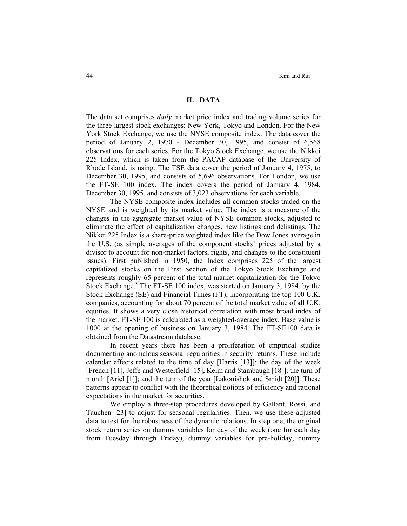#### **II. DATA**

The data set comprises *daily* market price index and trading volume series for the three largest stock exchanges: New York, Tokyo and London. For the New York Stock Exchange, we use the NYSE composite index. The data cover the period of January 2, 1970 - December 30, 1995, and consist of 6,568 observations for each series. For the Tokyo Stock Exchange, we use the Nikkei 225 Index, which is taken from the PACAP database of the University of Rhode Island, is using. The TSE data cover the period of January 4, 1975, to December 30, 1995, and consists of 5,696 observations. For London, we use the FT-SE 100 index. The index covers the period of January 4, 1984, December 30, 1995, and consists of 3,023 observations for each variable.

The NYSE composite index includes all common stocks traded on the NYSE and is weighted by its market value. The index is a measure of the changes in the aggregate market value of NYSE common stocks, adjusted to eliminate the effect of capitalization changes, new listings and delistings. The Nikkei 225 Index is a share-price weighted index like the Dow Jones average in the U.S. (as simple averages of the component stocks' prices adjusted by a divisor to account for non-market factors, rights, and changes to the constituent issues). First published in 1950, the Index comprises 225 of the largest capitalized stocks on the First Section of the Tokyo Stock Exchange and represents roughly 65 percent of the total market capitalization for the Tokyo Stock Exchange.<sup>3</sup> The FT-SE 100 index, was started on January 3, 1984, by the Stock Exchange (SE) and Financial Times (FT), incorporating the top 100 U.K. companies, accounting for about 70 percent of the total market value of all U.K. equities. It shows a very close historical correlation with most broad index of the market. FT-SE 100 is calculated as a weighted-average index. Base value is 1000 at the opening of business on January 3, 1984. The FT-SE100 data is obtained from the Datastream database.

In recent years there has been a proliferation of empirical studies documenting anomalous seasonal regularities in security returns. These include calendar effects related to the time of day [Harris [13]]; the day of the week [French [11], Jeffe and Westerfield [15], Keim and Stambaugh [18]]; the turn of month [Ariel [1]]; and the turn of the year [Lakonishok and Smidt [20]]. These patterns appear to conflict with the theoretical notions of efficiency and rational expectations in the market for securities.

We employ a three-step procedures developed by Gallant, Rossi, and Tauchen [23] to adjust for seasonal regularities. Then, we use these adjusted data to test for the robustness of the dynamic relations. In step one, the original stock return series on dummy variables for day of the week (one for each day from Tuesday through Friday), dummy variables for pre-holiday, dummy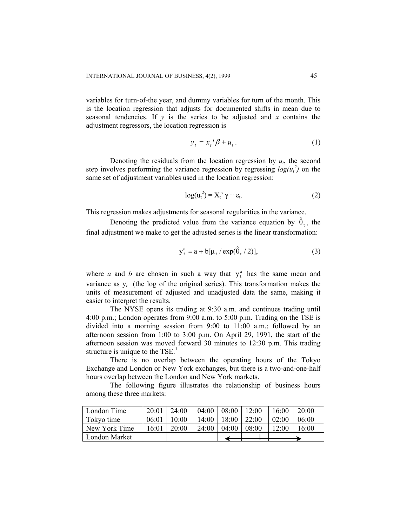variables for turn-of-the year, and dummy variables for turn of the month. This is the location regression that adjusts for documented shifts in mean due to seasonal tendencies. If  $y$  is the series to be adjusted and  $x$  contains the adjustment regressors, the location regression is

$$
y_t = x_t^{\dagger} \beta + u_t. \tag{1}
$$

Denoting the residuals from the location regression by  $u_t$ , the second step involves performing the variance regression by regressing  $log(u_t^2)$  on the same set of adjustment variables used in the location regression:

$$
\log(u_t^2) = X_t^{\prime} \gamma + \varepsilon_t. \tag{2}
$$

This regression makes adjustments for seasonal regularities in the variance.

Denoting the predicted value from the variance equation by  $\hat{\theta}_t$ , the final adjustment we make to get the adjusted series is the linear transformation:

$$
y_t^a = a + b[\mu_t / \exp(\hat{\theta}_t / 2)],
$$
 (3)

where *a* and *b* are chosen in such a way that  $y_t^a$  has the same mean and variance as  $y_t$  (the log of the original series). This transformation makes the units of measurement of adjusted and unadjusted data the same, making it easier to interpret the results.

The NYSE opens its trading at 9:30 a.m. and continues trading until 4:00 p.m.; London operates from 9:00 a.m. to 5:00 p.m. Trading on the TSE is divided into a morning session from 9:00 to 11:00 a.m.; followed by an afternoon session from 1:00 to 3:00 p.m. On April 29, 1991, the start of the afternoon session was moved forward 30 minutes to 12:30 p.m. This trading structure is unique to the  $TSE<sup>1</sup>$ .

There is no overlap between the operating hours of the Tokyo Exchange and London or New York exchanges, but there is a two-and-one-half hours overlap between the London and New York markets.

The following figure illustrates the relationship of business hours among these three markets:

| London Time   | 20:01 | 24:00 | 04:00 | 08:00 | 12:00 | 16:00 | 20:00 |
|---------------|-------|-------|-------|-------|-------|-------|-------|
| Tokyo time    | 06:01 | 10:00 | 14:00 | 18:00 | 22:00 | 02:00 | 06:00 |
| New York Time | 16:01 | 20:00 | 24:00 | 04:00 | 08:00 | 12:00 | 6:00  |
| London Market |       |       |       |       |       |       |       |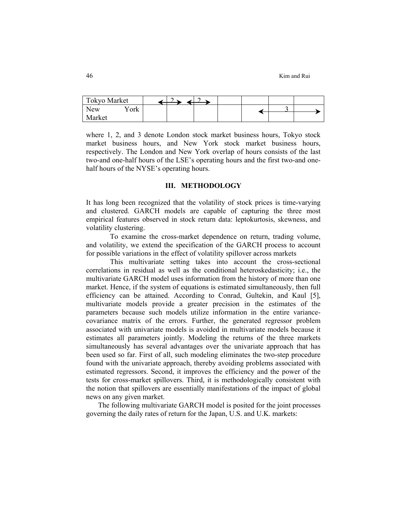| <b>Tokyo Market</b>              |  |  |  |  |
|----------------------------------|--|--|--|--|
| $\mathrm{v}_\mathrm{ork}$<br>New |  |  |  |  |
| Market                           |  |  |  |  |

where 1, 2, and 3 denote London stock market business hours, Tokyo stock market business hours, and New York stock market business hours, respectively. The London and New York overlap of hours consists of the last two-and one-half hours of the LSE's operating hours and the first two-and onehalf hours of the NYSE's operating hours.

#### **III. METHODOLOGY**

It has long been recognized that the volatility of stock prices is time-varying and clustered. GARCH models are capable of capturing the three most empirical features observed in stock return data: leptokurtosis, skewness, and volatility clustering.

To examine the cross-market dependence on return, trading volume, and volatility, we extend the specification of the GARCH process to account for possible variations in the effect of volatility spillover across markets

This multivariate setting takes into account the cross-sectional correlations in residual as well as the conditional heteroskedasticity; i.e., the multivariate GARCH model uses information from the history of more than one market. Hence, if the system of equations is estimated simultaneously, then full efficiency can be attained. According to Conrad, Gultekin, and Kaul [5], multivariate models provide a greater precision in the estimates of the parameters because such models utilize information in the entire variancecovariance matrix of the errors. Further, the generated regressor problem associated with univariate models is avoided in multivariate models because it estimates all parameters jointly. Modeling the returns of the three markets simultaneously has several advantages over the univariate approach that has been used so far. First of all, such modeling eliminates the two-step procedure found with the univariate approach, thereby avoiding problems associated with estimated regressors. Second, it improves the efficiency and the power of the tests for cross-market spillovers. Third, it is methodologically consistent with the notion that spillovers are essentially manifestations of the impact of global news on any given market.

The following multivariate GARCH model is posited for the joint processes governing the daily rates of return for the Japan, U.S. and U.K. markets: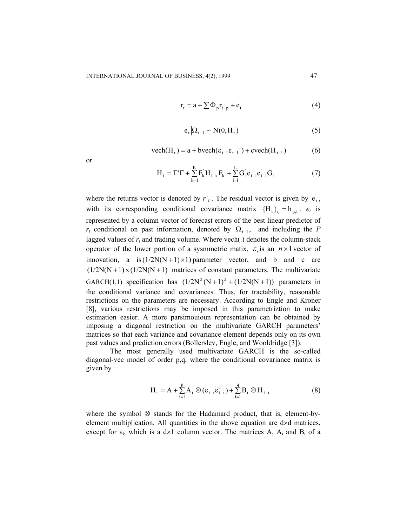$$
r_{t} = a + \sum \Phi_{p} r_{t-p} + e_{t}
$$
 (4)

$$
e_t | \Omega_{t-1} \sim N(0, H_t) \tag{5}
$$

$$
\text{vech}(H_t) = a + \text{bvech}(\varepsilon_{t-1}\varepsilon_{t-1}) + \text{evech}(H_{t-1}) \tag{6}
$$

or

$$
H_{t} = \Gamma' \Gamma + \sum_{k=1}^{K} F_{k}^{'} H_{1-k} F_{k} + \sum_{l=1}^{L} G_{l}^{'} e_{t-l}^{'} e_{t-l}^{'} G_{l}
$$
(7)

where the returns vector is denoted by  $r'$ . The residual vector is given by  $e_t$ , with its corresponding conditional covariance matrix  ${H_t}_{i,j} = h_{i,j,t}$ .  $e_t$  is represented by a column vector of forecast errors of the best linear predictor of *r<sub>t</sub>* conditional on past information, denoted by  $\Omega_{t-1}$ , and including the *P* lagged values of  $r_t$  and trading volume. Where vech(.) denotes the column-stack operator of the lower portion of a sysmmetric matix,  $\varepsilon$  is an  $n \times 1$  vector of innovation, a is  $(1/2N(N+1) \times 1)$  parameter vector, and b and c are  $(1/2N(N+1) \times (1/2N(N+1))$  matrices of constant parameters. The multivariate GARCH(1,1) specification has  $(1/2N^2(N+1)^2 + (1/2N(N+1))$  parameters in the conditional variance and covariances. Thus, for tractability, reasonable restrictions on the parameters are necessary. According to Engle and Kroner [8], various restrictions may be imposed in this parametriztion to make estimation easier. A more parsimouioun representation can be obtained by imposing a diagonal restriction on the multivariate GARCH parameters' matrices so that each variance and covariance element depends only on its own past values and prediction errors (Bollerslev, Engle, and Wooldridge [3]).

The most generally used multivariate GARCH is the so-called diagonal-vec model of order p,q, where the conditional covariance matrix is given by

$$
\mathbf{H}_{\mathbf{t}} = \mathbf{A} + \sum_{i=1}^{p} \mathbf{A}_{i} \otimes (\boldsymbol{\epsilon}_{\mathbf{t}-i} \boldsymbol{\epsilon}_{\mathbf{t}-i}^{T}) + \sum_{i=1}^{q} \mathbf{B}_{i} \otimes \mathbf{H}_{\mathbf{t}-i}
$$
(8)

where the symbol ⊗ stands for the Hadamard product, that is, element-byelement multiplication. All quantities in the above equation are d×d matrices, except for  $\varepsilon_t$ , which is a d×1 column vector. The matrices A, A<sub>i</sub> and B<sub>i</sub> of a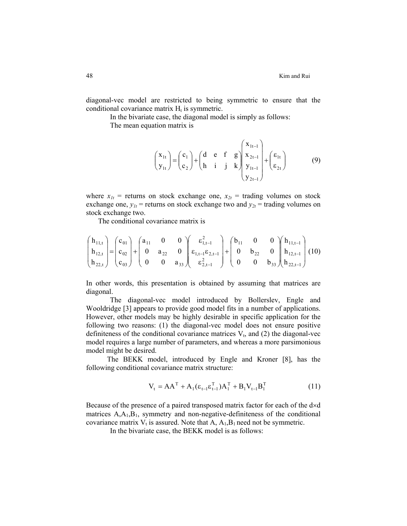diagonal-vec model are restricted to being symmetric to ensure that the conditional covariance matrix  $H_t$  is symmetric.

In the bivariate case, the diagonal model is simply as follows:

The mean equation matrix is

$$
\begin{pmatrix} \mathbf{x}_{1t} \\ \mathbf{y}_{1t} \end{pmatrix} = \begin{pmatrix} \mathbf{c}_1 \\ \mathbf{c}_2 \end{pmatrix} + \begin{pmatrix} \mathbf{d} & \mathbf{e} & \mathbf{f} & \mathbf{g} \\ \mathbf{h} & \mathbf{i} & \mathbf{j} & \mathbf{k} \end{pmatrix} \begin{pmatrix} \mathbf{x}_{1t-1} \\ \mathbf{x}_{2t-1} \\ \mathbf{y}_{1t-1} \\ \mathbf{y}_{2t-1} \end{pmatrix} + \begin{pmatrix} \varepsilon_{1t} \\ \varepsilon_{2t} \end{pmatrix}
$$
(9)

where  $x_{1t}$  = returns on stock exchange one,  $x_{2t}$  = trading volumes on stock exchange one,  $y_{1t}$  = returns on stock exchange two and  $y_{2t}$  = trading volumes on stock exchange two.

The conditional covariance matrix is

$$
\begin{pmatrix} h_{11,t} \\ h_{12,t} \\ h_{22,t} \end{pmatrix} = \begin{pmatrix} c_{01} \\ c_{02} \\ c_{03} \end{pmatrix} + \begin{pmatrix} a_{11} & 0 & 0 \\ 0 & a_{22} & 0 \\ 0 & 0 & a_{33} \end{pmatrix} \begin{pmatrix} \varepsilon_{1,t-1}^2 \\ \varepsilon_{1,t-1} \varepsilon_{2,t-1} \\ \varepsilon_{2,t-1}^2 \end{pmatrix} + \begin{pmatrix} b_{11} & 0 & 0 \\ 0 & b_{22} & 0 \\ 0 & 0 & b_{33} \end{pmatrix} \begin{pmatrix} h_{11,t-1} \\ h_{12,t-1} \\ h_{22,t-1} \end{pmatrix} (10)
$$

In other words, this presentation is obtained by assuming that matrices are diagonal.

The diagonal-vec model introduced by Bollerslev, Engle and Wooldridge [3] appears to provide good model fits in a number of applications. However, other models may be highly desirable in specific application for the following two reasons: (1) the diagonal-vec model does not ensure positive definiteness of the conditional covariance matrices  $V_t$ , and (2) the diagonal-vec model requires a large number of parameters, and whereas a more parsimonious model might be desired.

The BEKK model, introduced by Engle and Kroner [8], has the following conditional covariance matrix structure:

$$
V_{t} = AA^{T} + A_{1}(\epsilon_{t-1}\epsilon_{t-1}^{T})A_{1}^{T} + B_{1}V_{t-1}B_{1}^{T}
$$
 (11)

Because of the presence of a paired transposed matrix factor for each of the d×d matrices  $A_1A_1B_1$ , symmetry and non-negative-definiteness of the conditional covariance matrix  $V_t$  is assured. Note that A,  $A_1, B_1$  need not be symmetric.

In the bivariate case, the BEKK model is as follows: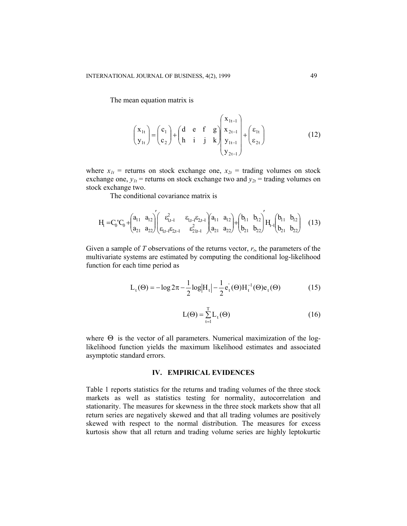The mean equation matrix is

$$
\begin{pmatrix} \mathbf{x}_{1t} \\ \mathbf{y}_{1t} \end{pmatrix} = \begin{pmatrix} \mathbf{c}_1 \\ \mathbf{c}_2 \end{pmatrix} + \begin{pmatrix} \mathbf{d} & \mathbf{e} & \mathbf{f} & \mathbf{g} \\ \mathbf{h} & \mathbf{i} & \mathbf{j} & \mathbf{k} \end{pmatrix} \begin{pmatrix} \mathbf{x}_{1t-1} \\ \mathbf{x}_{2t-1} \\ \mathbf{y}_{1t-1} \\ \mathbf{y}_{2t-1} \end{pmatrix} + \begin{pmatrix} \varepsilon_{1t} \\ \varepsilon_{2t} \end{pmatrix}
$$
 (12)

where  $x_{1t}$  = returns on stock exchange one,  $x_{2t}$  = trading volumes on stock exchange one,  $y_{1t}$  = returns on stock exchange two and  $y_{2t}$  = trading volumes on stock exchange two.

The conditional covariance matrix is

$$
H_t = C_0 C_0 + \begin{pmatrix} a_{11} & a_{12} \\ a_{21} & a_{22} \end{pmatrix} \begin{pmatrix} \epsilon_{1,t-l}^2 & \epsilon_{1,t-l} \epsilon_{2,t-l} \\ \epsilon_{1,t-l} \epsilon_{2,t-l} & \epsilon_{2,t-l}^2 \end{pmatrix} + \begin{pmatrix} a_{11} & a_{12} \\ a_{21} & a_{22} \end{pmatrix} + \begin{pmatrix} b_{11} & b_{12} \\ b_{21} & b_{22} \end{pmatrix} \begin{pmatrix} b_{11} & b_{12} \\ b_{21} & b_{22} \end{pmatrix} \quad (13)
$$

Given a sample of *T* observations of the returns vector,  $r_t$ , the parameters of the multivariate systems are estimated by computing the conditional log-likelihood function for each time period as

$$
L_{t}(\Theta) = -\log 2\pi - \frac{1}{2}\log|H_{t}| - \frac{1}{2}e_{t}^{'}(\Theta)H_{t}^{-1}(\Theta)e_{t}(\Theta)
$$
 (15)

$$
L(\Theta) = \sum_{t=1}^{T} L_t(\Theta)
$$
 (16)

where  $\Theta$  is the vector of all parameters. Numerical maximization of the loglikelihood function yields the maximum likelihood estimates and associated asymptotic standard errors.

### **IV. EMPIRICAL EVIDENCES**

Table 1 reports statistics for the returns and trading volumes of the three stock markets as well as statistics testing for normality, autocorrelation and stationarity. The measures for skewness in the three stock markets show that all return series are negatively skewed and that all trading volumes are positively skewed with respect to the normal distribution. The measures for excess kurtosis show that all return and trading volume series are highly leptokurtic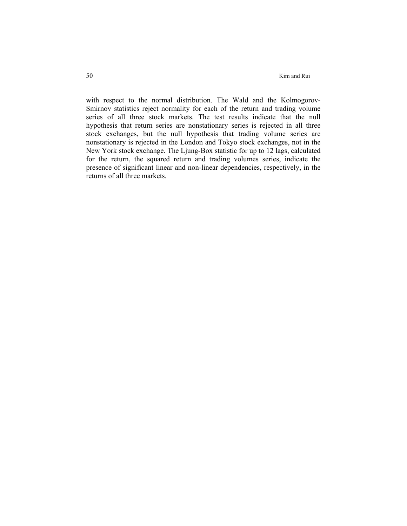with respect to the normal distribution. The Wald and the Kolmogorov-Smirnov statistics reject normality for each of the return and trading volume series of all three stock markets. The test results indicate that the null hypothesis that return series are nonstationary series is rejected in all three stock exchanges, but the null hypothesis that trading volume series are nonstationary is rejected in the London and Tokyo stock exchanges, not in the New York stock exchange. The Ljung-Box statistic for up to 12 lags, calculated for the return, the squared return and trading volumes series, indicate the presence of significant linear and non-linear dependencies, respectively, in the returns of all three markets.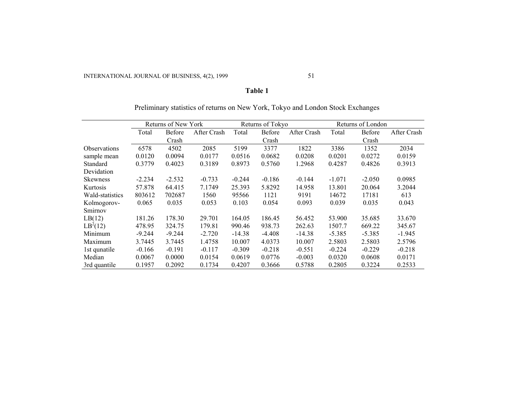#### **Table 1**

|                            |          | Returns of New York |             |          | Returns of Tokyo |             |          | Returns of London |             |  |
|----------------------------|----------|---------------------|-------------|----------|------------------|-------------|----------|-------------------|-------------|--|
|                            | Total    | <b>Before</b>       | After Crash | Total    | Before           | After Crash | Total    | Before            | After Crash |  |
|                            |          | Crash               |             |          | Crash            |             |          | Crash             |             |  |
| <i><b>Observations</b></i> | 6578     | 4502                | 2085        | 5199     | 3377             | 1822        | 3386     | 1352              | 2034        |  |
| sample mean                | 0.0120   | 0.0094              | 0.0177      | 0.0516   | 0.0682           | 0.0208      | 0.0201   | 0.0272            | 0.0159      |  |
| Standard                   | 0.3779   | 0.4023              | 0.3189      | 0.8973   | 0.5760           | 1.2968      | 0.4287   | 0.4826            | 0.3913      |  |
| Devidation                 |          |                     |             |          |                  |             |          |                   |             |  |
| <b>Skewness</b>            | $-2.234$ | $-2.532$            | $-0.733$    | $-0.244$ | $-0.186$         | $-0.144$    | $-1.071$ | $-2.050$          | 0.0985      |  |
| Kurtosis                   | 57.878   | 64.415              | 7.1749      | 25.393   | 5.8292           | 14.958      | 13.801   | 20.064            | 3.2044      |  |
| Wald-statistics            | 803612   | 702687              | 1560        | 95566    | 1121             | 9191        | 14672    | 17181             | 613         |  |
| Kolmogorov-                | 0.065    | 0.035               | 0.053       | 0.103    | 0.054            | 0.093       | 0.039    | 0.035             | 0.043       |  |
| Smirnov                    |          |                     |             |          |                  |             |          |                   |             |  |
| LB(12)                     | 181.26   | 178.30              | 29.701      | 164.05   | 186.45           | 56.452      | 53.900   | 35.685            | 33.670      |  |
| $LB^2(12)$                 | 478.95   | 324.75              | 179.81      | 990.46   | 938.73           | 262.63      | 1507.7   | 669.22            | 345.67      |  |
| Minimum                    | $-9.244$ | $-9.244$            | $-2.720$    | $-14.38$ | $-4.408$         | $-14.38$    | $-5.385$ | $-5.385$          | $-1.945$    |  |
| Maximum                    | 3.7445   | 3.7445              | 1.4758      | 10.007   | 4.0373           | 10.007      | 2.5803   | 2.5803            | 2.5796      |  |
| 1st qunatile               | $-0.166$ | $-0.191$            | $-0.117$    | $-0.309$ | $-0.218$         | $-0.551$    | $-0.224$ | $-0.229$          | $-0.218$    |  |
| Median                     | 0.0067   | 0.0000              | 0.0154      | 0.0619   | 0.0776           | $-0.003$    | 0.0320   | 0.0608            | 0.0171      |  |
| 3rd quantile               | 0.1957   | 0.2092              | 0.1734      | 0.4207   | 0.3666           | 0.5788      | 0.2805   | 0.3224            | 0.2533      |  |

Preliminary statistics of returns on New York, Tokyo and London Stock Exchanges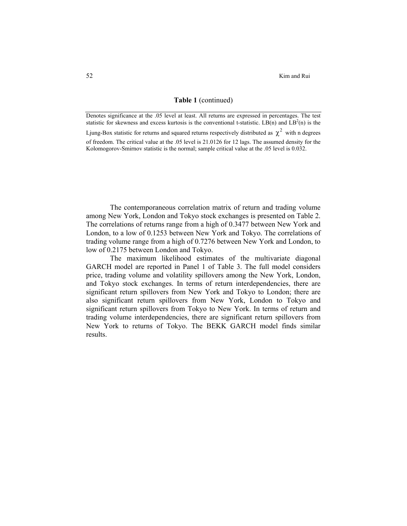52 Kim and Rui

#### **Table 1** (continued)

Denotes significance at the .05 level at least. All returns are expressed in percentages. The test statistic for skewness and excess kurtosis is the conventional t-statistic.  $LB(n)$  and  $LB<sup>2</sup>(n)$  is the Ljung-Box statistic for returns and squared returns respectively distributed as  $\chi^2$  with n degrees of freedom. The critical value at the .05 level is 21.0126 for 12 lags. The assumed density for the Kolomogorov-Smirnov statistic is the normal; sample critical value at the .05 level is 0.032.

The contemporaneous correlation matrix of return and trading volume among New York, London and Tokyo stock exchanges is presented on Table 2. The correlations of returns range from a high of 0.3477 between New York and London, to a low of 0.1253 between New York and Tokyo. The correlations of trading volume range from a high of 0.7276 between New York and London, to low of 0.2175 between London and Tokyo.

The maximum likelihood estimates of the multivariate diagonal GARCH model are reported in Panel 1 of Table 3. The full model considers price, trading volume and volatility spillovers among the New York, London, and Tokyo stock exchanges. In terms of return interdependencies, there are significant return spillovers from New York and Tokyo to London; there are also significant return spillovers from New York, London to Tokyo and significant return spillovers from Tokyo to New York. In terms of return and trading volume interdependencies, there are significant return spillovers from New York to returns of Tokyo. The BEKK GARCH model finds similar results.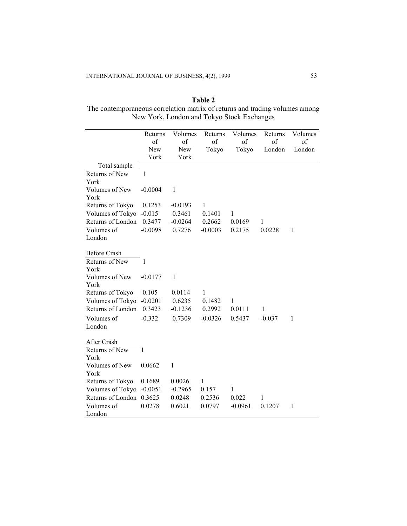# **Table 2**  The contemporaneous correlation matrix of returns and trading volumes among New York, London and Tokyo Stock Exchanges

|                                       |               | Volumes      | Returns      | Volumes      | Returns      | Volumes |
|---------------------------------------|---------------|--------------|--------------|--------------|--------------|---------|
|                                       | Returns<br>of | of           | of           | of           | of           | of      |
|                                       | New           | New          | Tokyo        | Tokyo        | London       | London  |
|                                       | York          | York         |              |              |              |         |
|                                       |               |              |              |              |              |         |
| Total sample                          |               |              |              |              |              |         |
| Returns of New                        | 1             |              |              |              |              |         |
| York                                  |               |              |              |              |              |         |
| Volumes of New                        | $-0.0004$     | $\mathbf{1}$ |              |              |              |         |
| York                                  |               |              |              |              |              |         |
| Returns of Tokyo                      | 0.1253        | $-0.0193$    | 1            |              |              |         |
| Volumes of Tokyo                      | $-0.015$      | 0.3461       | 0.1401       | 1            |              |         |
| Returns of London                     | 0.3477        | $-0.0264$    | 0.2662       | 0.0169       | 1            |         |
| Volumes of                            | $-0.0098$     | 0.7276       | $-0.0003$    | 0.2175       | 0.0228       | 1       |
| London                                |               |              |              |              |              |         |
|                                       |               |              |              |              |              |         |
| <b>Before Crash</b><br>Returns of New | 1             |              |              |              |              |         |
| York                                  |               |              |              |              |              |         |
| Volumes of New                        | $-0.0177$     | $\mathbf{1}$ |              |              |              |         |
| York                                  |               |              |              |              |              |         |
| Returns of Tokyo                      | 0.105         | 0.0114       | $\mathbf{1}$ |              |              |         |
| Volumes of Tokyo                      | $-0.0201$     | 0.6235       | 0.1482       | $\mathbf{1}$ |              |         |
| Returns of London                     | 0.3423        |              |              |              | $\mathbf{1}$ |         |
|                                       |               | $-0.1236$    | 0.2992       | 0.0111       |              |         |
| Volumes of                            | $-0.332$      | 0.7309       | $-0.0326$    | 0.5437       | $-0.037$     | 1       |
| London                                |               |              |              |              |              |         |
| After Crash                           |               |              |              |              |              |         |
| Returns of New                        | 1             |              |              |              |              |         |
| York                                  |               |              |              |              |              |         |
| Volumes of New                        | 0.0662        | 1            |              |              |              |         |
| York                                  |               |              |              |              |              |         |
| Returns of Tokyo                      | 0.1689        | 0.0026       | 1            |              |              |         |
| Volumes of Tokyo                      | $-0.0051$     | $-0.2965$    | 0.157        | 1            |              |         |
| Returns of London                     | 0.3625        | 0.0248       | 0.2536       | 0.022        | 1            |         |
| Volumes of                            | 0.0278        | 0.6021       | 0.0797       | $-0.0961$    | 0.1207       | 1       |
| London                                |               |              |              |              |              |         |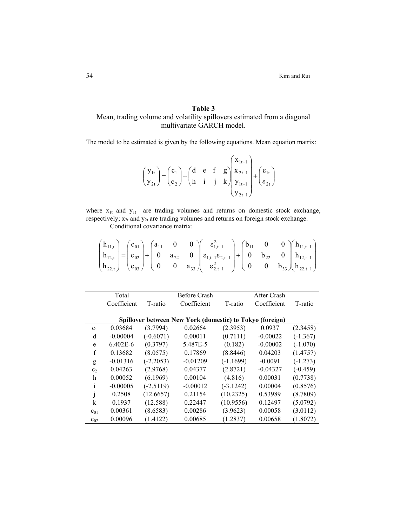# **Table 3**  Mean, trading volume and volatility spillovers estimated from a diagonal multivariate GARCH model.

The model to be estimated is given by the following equations. Mean equation matrix:

$$
\begin{pmatrix} y_{1t} \\ y_{2t} \end{pmatrix} = \begin{pmatrix} c_1 \\ c_2 \end{pmatrix} + \begin{pmatrix} d & e & f & g \\ h & i & j & k \end{pmatrix} \begin{pmatrix} x_{1t-1} \\ x_{2t-1} \\ y_{1t-1} \\ y_{2t-1} \end{pmatrix} + \begin{pmatrix} \varepsilon_{1t} \\ \varepsilon_{2t} \end{pmatrix}
$$

where  $x_{1t}$  and  $y_{1t}$  are trading volumes and returns on domestic stock exchange, respectively;  $x_{2t}$  and  $y_{2t}$  are trading volumes and returns on foreign stock exchange.

Conditional covariance matrix:

$$
\begin{pmatrix} h_{11,t} \\ h_{12,t} \\ h_{22,t} \end{pmatrix} = \begin{pmatrix} c_{01} \\ c_{02} \\ c_{03} \end{pmatrix} + \begin{pmatrix} a_{11} & 0 & 0 \\ 0 & a_{22} & 0 \\ 0 & 0 & a_{33} \end{pmatrix} \begin{pmatrix} \epsilon_{1,t-1}^2 \\ \epsilon_{1,t-1} \epsilon_{2,t-1} \\ \epsilon_{2,t-1}^2 \end{pmatrix} + \begin{pmatrix} b_{11} & 0 & 0 \\ 0 & b_{22} & 0 \\ 0 & 0 & b_{33} \end{pmatrix} \begin{pmatrix} h_{11,t-1} \\ h_{12,t-1} \\ h_{22,t-1} \end{pmatrix}
$$

|                | Total        |             | <b>Before Crash</b>                                      |             | After Crash |            |
|----------------|--------------|-------------|----------------------------------------------------------|-------------|-------------|------------|
|                | Coefficient  | T-ratio     | Coefficient                                              | T-ratio     | Coefficient | T-ratio    |
|                |              |             |                                                          |             |             |            |
|                |              |             | Spillover between New York (domestic) to Tokyo (foreign) |             |             |            |
| C <sub>1</sub> | 0.03684      | (3.7994)    | 0.02664                                                  | (2.3953)    | 0.0937      | (2.3458)   |
| d              | $-0.00004$   | $(-0.6071)$ | 0.00011                                                  | (0.7111)    | $-0.00022$  | $(-1.367)$ |
| e              | $6.402E - 6$ | (0.3797)    | 5.487E-5                                                 | (0.182)     | $-0.00002$  | $(-1.070)$ |
| $\mathbf f$    | 0.13682      | (8.0575)    | 0.17869                                                  | (8.8446)    | 0.04203     | (1.4757)   |
| g              | $-0.01316$   | $(-2.2053)$ | $-0.01209$                                               | $(-1.1699)$ | $-0.0091$   | $(-1.273)$ |
| c <sub>2</sub> | 0.04263      | (2.9768)    | 0.04377                                                  | (2.8721)    | $-0.04327$  | $(-0.459)$ |
| h              | 0.00052      | (6.1969)    | 0.00104                                                  | (4.816)     | 0.00031     | (0.7738)   |
| i              | $-0.00005$   | $(-2.5119)$ | $-0.00012$                                               | $(-3.1242)$ | 0.00004     | (0.8576)   |
| J              | 0.2508       | (12.6657)   | 0.21154                                                  | (10.2325)   | 0.53989     | (8.7809)   |
| k              | 0.1937       | (12.588)    | 0.22447                                                  | (10.9556)   | 0.12497     | (5.0792)   |
| $c_{01}$       | 0.00361      | (8.6583)    | 0.00286                                                  | (3.9623)    | 0.00058     | (3.0112)   |
| $c_{02}$       | 0.00096      | (1.4122)    | 0.00685                                                  | (1.2837)    | 0.00658     | (1.8072)   |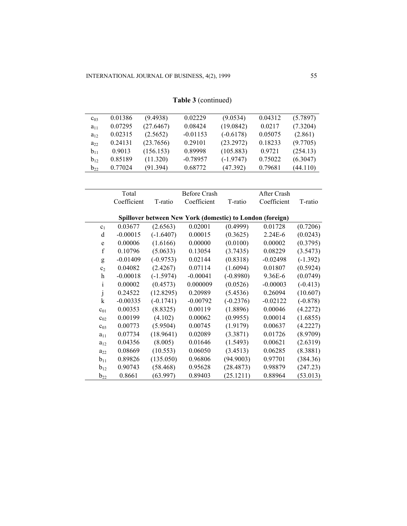| $c_{03}$                  | 0.01386     | (9.4938)    | 0.02229                                                   | (9.0534)    | 0.04312     | (5.7897)   |
|---------------------------|-------------|-------------|-----------------------------------------------------------|-------------|-------------|------------|
| $a_{11}$                  | 0.07295     | (27.6467)   | 0.08424                                                   | (19.0842)   | 0.0217      | (7.3204)   |
| $a_{12}$                  | 0.02315     | (2.5652)    | $-0.01153$                                                | $(-0.6178)$ | 0.05075     | (2.861)    |
| $a_{22}$                  | 0.24131     | (23.7656)   | 0.29101                                                   | (23.2972)   | 0.18233     | (9.7705)   |
| $b_{11}$                  | 0.9013      | (156.153)   | 0.89998                                                   | (105.883)   | 0.9721      | (254.13)   |
| $b_{12}$                  | 0.85189     | (11.320)    | $-0.78957$                                                | $(-1.9747)$ | 0.75022     | (6.3047)   |
| $b_{22}$                  | 0.77024     | (91.394)    | 0.68772                                                   | (47.392)    | 0.79681     | (44.110)   |
|                           |             |             |                                                           |             |             |            |
|                           |             |             |                                                           |             |             |            |
|                           | Total       |             | <b>Before Crash</b>                                       |             | After Crash |            |
|                           | Coefficient | T-ratio     | Coefficient                                               | T-ratio     | Coefficient | T-ratio    |
|                           |             |             | Spillover between New York (domestic) to London (foreign) |             |             |            |
| c <sub>1</sub>            | 0.03677     | (2.6563)    | 0.02001                                                   | (0.4999)    | 0.01728     | (0.7206)   |
| d                         | $-0.00015$  | $(-1.6407)$ | 0.00015                                                   | (0.3625)    | 2.24E-6     | (0.0243)   |
| e                         | 0.00006     | (1.6166)    | 0.00000                                                   | (0.0100)    | 0.00002     | (0.3795)   |
| $\mathbf f$               | 0.10796     | (5.0633)    | 0.13054                                                   | (3.7435)    | 0.08229     | (3.5473)   |
| g                         | $-0.01409$  | $(-0.9753)$ | 0.02144                                                   | (0.8318)    | $-0.02498$  | $(-1.392)$ |
| c <sub>2</sub>            | 0.04082     | (2.4267)    | 0.07114                                                   | (1.6094)    | 0.01807     | (0.5924)   |
| $\boldsymbol{\mathrm{h}}$ | $-0.00018$  | $(-1.5974)$ | $-0.00041$                                                | $(-0.8980)$ | 9.36E-6     | (0.0749)   |
| $\mathbf{i}$              | 0.00002     | (0.4573)    | 0.000009                                                  | (0.0526)    | $-0.00003$  | $(-0.413)$ |
| j                         | 0.24522     | (12.8295)   | 0.20989                                                   | (5.4536)    | 0.26094     | (10.607)   |
| $\mathbf k$               | $-0.00335$  | $(-0.1741)$ | $-0.00792$                                                | $(-0.2376)$ | $-0.02122$  | $(-0.878)$ |
| $c_{01}$                  | 0.00353     | (8.8325)    | 0.00119                                                   | (1.8896)    | 0.00046     | (4.2272)   |
| $c_{02}$                  | 0.00199     | (4.102)     | 0.00062                                                   | (0.9955)    | 0.00014     | (1.6855)   |
| $c_{03}$                  | 0.00773     | (5.9504)    | 0.00745                                                   | (1.9179)    | 0.00637     | (4.2227)   |
| $a_{11}$                  | 0.07734     | (18.9641)   | 0.02089                                                   | (3.3871)    | 0.01726     | (8.9709)   |
| $a_{12}$                  | 0.04356     | (8.005)     | 0.01646                                                   | (1.5493)    | 0.00621     | (2.6319)   |
| $a_{22}$                  | 0.08669     | (10.553)    | 0.06050                                                   | (3.4513)    | 0.06285     | (8.3881)   |
| $b_{11}$                  | 0.89826     | (135.050)   | 0.96806                                                   | (94.9003)   | 0.97701     | (384.36)   |
| $b_{12}$                  | 0.90743     | (58.468)    | 0.95628                                                   | (28.4873)   | 0.98879     | (247.23)   |
| $b_{22}$                  | 0.8661      | (63.997)    | 0.89403                                                   | (25.1211)   | 0.88964     | (53.013)   |

| Table 3 (continued) |
|---------------------|
|                     |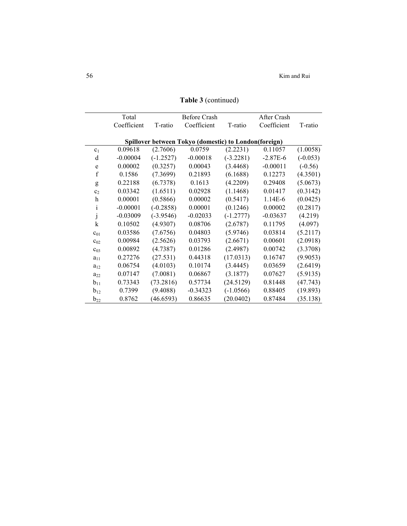|                | Total       |             | <b>Before Crash</b>                                   |             | After Crash |            |
|----------------|-------------|-------------|-------------------------------------------------------|-------------|-------------|------------|
|                | Coefficient | T-ratio     | Coefficient                                           | T-ratio     | Coefficient | T-ratio    |
|                |             |             |                                                       |             |             |            |
|                |             |             | Spillover between Tokyo (domestic) to London(foreign) |             |             |            |
| c <sub>1</sub> | 0.09618     | (2.7606)    | 0.0759                                                | (2.2231)    | 0.11057     | (1.0058)   |
| d              | $-0.00004$  | $(-1.2527)$ | $-0.00018$                                            | $(-3.2281)$ | $-2.87E-6$  | $(-0.053)$ |
| e              | 0.00002     | (0.3257)    | 0.00043                                               | (3.4468)    | $-0.00011$  | $(-0.56)$  |
| $\mathbf f$    | 0.1586      | (7.3699)    | 0.21893                                               | (6.1688)    | 0.12273     | (4.3501)   |
| g              | 0.22188     | (6.7378)    | 0.1613                                                | (4.2209)    | 0.29408     | (5.0673)   |
| c <sub>2</sub> | 0.03342     | (1.6511)    | 0.02928                                               | (1.1468)    | 0.01417     | (0.3142)   |
| h              | 0.00001     | (0.5866)    | 0.00002                                               | (0.5417)    | 1.14E-6     | (0.0425)   |
| $\mathbf{i}$   | $-0.00001$  | $(-0.2858)$ | 0.00001                                               | (0.1246)    | 0.00002     | (0.2817)   |
| j              | $-0.03009$  | $(-3.9546)$ | $-0.02033$                                            | $(-1.2777)$ | $-0.03637$  | (4.219)    |
| $\mathbf k$    | 0.10502     | (4.9307)    | 0.08706                                               | (2.6787)    | 0.11795     | (4.097)    |
| $c_{01}$       | 0.03586     | (7.6756)    | 0.04803                                               | (5.9746)    | 0.03814     | (5.2117)   |
| $c_{02}$       | 0.00984     | (2.5626)    | 0.03793                                               | (2.6671)    | 0.00601     | (2.0918)   |
| $c_{03}$       | 0.00892     | (4.7387)    | 0.01286                                               | (2.4987)    | 0.00742     | (3.3708)   |
| $a_{11}$       | 0.27276     | (27.531)    | 0.44318                                               | (17.0313)   | 0.16747     | (9.9053)   |
| $a_{12}$       | 0.06754     | (4.0103)    | 0.10174                                               | (3.4445)    | 0.03659     | (2.6419)   |
| $a_{22}$       | 0.07147     | (7.0081)    | 0.06867                                               | (3.1877)    | 0.07627     | (5.9135)   |
| $b_{11}$       | 0.73343     | (73.2816)   | 0.57734                                               | (24.5129)   | 0.81448     | (47.743)   |
| $b_{12}$       | 0.7399      | (9.4088)    | $-0.34323$                                            | $(-1.0566)$ | 0.88405     | (19.893)   |
| $b_{22}$       | 0.8762      | (46.6593)   | 0.86635                                               | (20.0402)   | 0.87484     | (35.138)   |

**Table 3** (continued)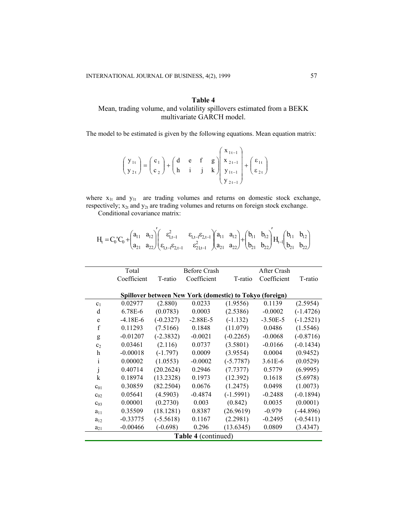# **Table 4**  Mean, trading volume, and volatility spillovers estimated from a BEKK multivariate GARCH model.

The model to be estimated is given by the following equations. Mean equation matrix:

$$
\begin{pmatrix} y_{1t} \\ y_{2t} \end{pmatrix} = \begin{pmatrix} c_1 \\ c_2 \end{pmatrix} + \begin{pmatrix} d & e & f & g \\ h & i & j & k \end{pmatrix} \begin{pmatrix} x_{1t-1} \\ x_{2t-1} \\ y_{1t-1} \\ y_{2t-1} \end{pmatrix} + \begin{pmatrix} \varepsilon_{1t} \\ \varepsilon_{2t} \end{pmatrix}
$$

where  $x_{1t}$  and  $y_{1t}$  are trading volumes and returns on domestic stock exchange, respectively;  $x_{2t}$  and  $y_{2t}$  are trading volumes and returns on foreign stock exchange.

Conditional covariance matrix:

 $\overline{a}$ 

 $\overline{a}$ 

$$
H_t = C_0' C_0 + \begin{pmatrix} a_{11} & a_{12} \\ a_{21} & a_{22} \end{pmatrix} \begin{pmatrix} \epsilon_{1,t-1}^2 & \epsilon_{1,t-l} \epsilon_{2,t-l} \\ \epsilon_{1,t-l} \epsilon_{2,t-l} & \epsilon_{2,t-l}^2 \end{pmatrix} + \begin{pmatrix} a_{11} & a_{12} \\ a_{21} & a_{22} \end{pmatrix} + \begin{pmatrix} b_{11} & b_{12} \\ b_{21} & b_{22} \end{pmatrix} H_{t-l} \begin{pmatrix} b_{11} & b_{12} \\ b_{21} & b_{22} \end{pmatrix}
$$

|                | Total       |             | <b>Before Crash</b>                                      |             | After Crash |             |
|----------------|-------------|-------------|----------------------------------------------------------|-------------|-------------|-------------|
|                | Coefficient | T-ratio     | Coefficient                                              | T-ratio     | Coefficient | T-ratio     |
|                |             |             |                                                          |             |             |             |
|                |             |             | Spillover between New York (domestic) to Tokyo (foreign) |             |             |             |
| c <sub>1</sub> | 0.02977     | (2.880)     | 0.0233                                                   | (1.9556)    | 0.1139      | (2.5954)    |
| d              | 6.78E-6     | (0.0783)    | 0.0003                                                   | (2.5386)    | $-0.0002$   | $(-1.4726)$ |
| e              | $-4.18E-6$  | $(-0.2327)$ | $-2.88E-5$                                               | $(-1.132)$  | $-3.50E-5$  | $(-1.2521)$ |
| f              | 0.11293     | (7.5166)    | 0.1848                                                   | (11.079)    | 0.0486      | (1.5546)    |
| g              | $-0.01207$  | $(-2.3832)$ | $-0.0021$                                                | $(-0.2265)$ | $-0.0068$   | $(-0.8716)$ |
| c <sub>2</sub> | 0.03461     | (2.116)     | 0.0737                                                   | (3.5801)    | $-0.0166$   | $(-0.1434)$ |
| h              | $-0.00018$  | $(-1.797)$  | 0.0009                                                   | (3.9554)    | 0.0004      | (0.9452)    |
| i              | 0.00002     | (1.0553)    | $-0.0002$                                                | $(-5.7787)$ | 3.61E-6     | (0.0529)    |
|                | 0.40714     | (20.2624)   | 0.2946                                                   | (7.7377)    | 0.5779      | (6.9995)    |
| k              | 0.18974     | (13.2328)   | 0.1973                                                   | (12.392)    | 0.1618      | (5.6978)    |
| $c_{01}$       | 0.30859     | (82.2504)   | 0.0676                                                   | (1.2475)    | 0.0498      | (1.0073)    |
| $c_{02}$       | 0.05641     | (4.5903)    | $-0.4874$                                                | $(-1.5991)$ | $-0.2488$   | $(-0.1894)$ |
| $C_{03}$       | 0.00001     | (0.2730)    | 0.003                                                    | (0.842)     | 0.0035      | (0.0001)    |
| $a_{11}$       | 0.35509     | (18.1281)   | 0.8387                                                   | (26.9619)   | $-0.979$    | $(-44.896)$ |
| $a_{12}$       | $-0.33775$  | $(-5.5618)$ | 0.1167                                                   | (2.2981)    | $-0.2495$   | $(-0.5411)$ |
| $a_{21}$       | $-0.00466$  | $(-0.698)$  | 0.296                                                    | (13.6345)   | 0.0809      | (3.4347)    |
|                |             |             | <b>Table 4 (continued)</b>                               |             |             |             |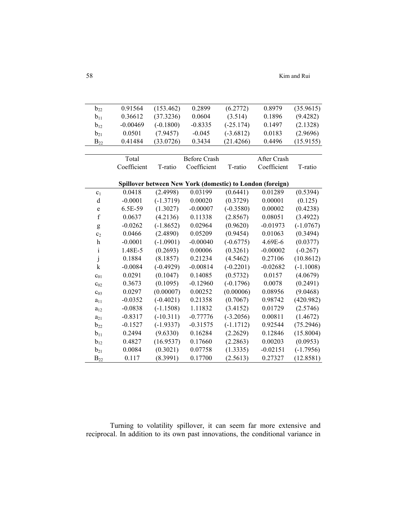58 Kim and Rui

| $b_{22}$                  | 0.91564     | (153.462)   | 0.2899                                                    | (6.2772)    | 0.8979      | (35.9615)   |
|---------------------------|-------------|-------------|-----------------------------------------------------------|-------------|-------------|-------------|
| $b_{11}$                  | 0.36612     | (37.3236)   | 0.0604                                                    | (3.514)     | 0.1896      | (9.4282)    |
| $b_{12}$                  | $-0.00469$  | $(-0.1800)$ | $-0.8335$                                                 | $(-25.174)$ | 0.1497      | (2.1328)    |
| $b_{21}$                  | 0.0501      | (7.9457)    | $-0.045$                                                  | $(-3.6812)$ | 0.0183      | (2.9696)    |
| $B_{22}$                  | 0.41484     | (33.0726)   | 0.3434                                                    | (21.4266)   | 0.4496      | (15.9155)   |
|                           |             |             |                                                           |             |             |             |
|                           | Total       |             | <b>Before Crash</b>                                       |             | After Crash |             |
|                           | Coefficient | T-ratio     | Coefficient                                               | T-ratio     | Coefficient | T-ratio     |
|                           |             |             |                                                           |             |             |             |
|                           |             |             | Spillover between New York (domestic) to London (foreign) |             |             |             |
| c <sub>1</sub>            | 0.0418      | (2.4998)    | 0.03199                                                   | (0.6441)    | 0.01289     | (0.5394)    |
| d                         | $-0.0001$   | $(-1.3719)$ | 0.00020                                                   | (0.3729)    | 0.00001     | (0.125)     |
| e                         | 6.5E-59     | (1.3027)    | $-0.00007$                                                | $(-0.3580)$ | 0.00002     | (0.4238)    |
| $\mathbf f$               | 0.0637      | (4.2136)    | 0.11338                                                   | (2.8567)    | 0.08051     | (3.4922)    |
| g                         | $-0.0262$   | $(-1.8652)$ | 0.02964                                                   | (0.9620)    | $-0.01973$  | $(-1.0767)$ |
| c <sub>2</sub>            | 0.0466      | (2.4890)    | 0.05209                                                   | (0.9454)    | 0.01063     | (0.3494)    |
| $\boldsymbol{\mathrm{h}}$ | $-0.0001$   | $(-1.0901)$ | $-0.00040$                                                | $(-0.6775)$ | 4.69E-6     | (0.0377)    |
| $\mathbf{i}$              | 1.48E-5     | (0.2693)    | 0.00006                                                   | (0.3261)    | $-0.00002$  | $(-0.267)$  |
| $\dot{j}$                 | 0.1884      | (8.1857)    | 0.21234                                                   | (4.5462)    | 0.27106     | (10.8612)   |
| k                         | $-0.0084$   | $(-0.4929)$ | $-0.00814$                                                | $(-0.2201)$ | $-0.02682$  | $(-1.1008)$ |
| $c_{01}$                  | 0.0291      | (0.1047)    | 0.14085                                                   | (0.5732)    | 0.0157      | (4.0679)    |
| $c_{02}$                  | 0.3673      | (0.1095)    | $-0.12960$                                                | $(-0.1796)$ | 0.0078      | (0.2491)    |
| $c_{03}$                  | 0.0297      | (0.00007)   | 0.00252                                                   | (0.00006)   | 0.08956     | (9.0468)    |
| $a_{11}$                  | $-0.0352$   | $(-0.4021)$ | 0.21358                                                   | (0.7067)    | 0.98742     | (420.982)   |
| $a_{12}$                  | $-0.0838$   | $(-1.1508)$ | 1.11832                                                   | (3.4152)    | 0.01729     | (2.5746)    |
| $a_{21}$                  | $-0.8317$   | $(-10.311)$ | $-0.77776$                                                | $(-3.2056)$ | 0.00811     | (1.4672)    |
| $b_{22}$                  | $-0.1527$   | $(-1.9337)$ | $-0.31575$                                                | $(-1.1712)$ | 0.92544     | (75.2946)   |
| $b_{11}$                  | 0.2494      | (9.6330)    | 0.16284                                                   | (2.2629)    | 0.12846     | (15.8004)   |
| $b_{12}$                  | 0.4827      | (16.9537)   | 0.17660                                                   | (2.2863)    | 0.00203     | (0.0953)    |
| $b_{21}$                  | 0.0084      | (0.3021)    | 0.07758                                                   | (1.3335)    | $-0.02151$  | $(-1.7956)$ |
| $B_{22}$                  | 0.117       | (8.3991)    | 0.17700                                                   | (2.5613)    | 0.27327     | (12.8581)   |
|                           |             |             |                                                           |             |             |             |

Turning to volatility spillover, it can seem far more extensive and reciprocal. In addition to its own past innovations, the conditional variance in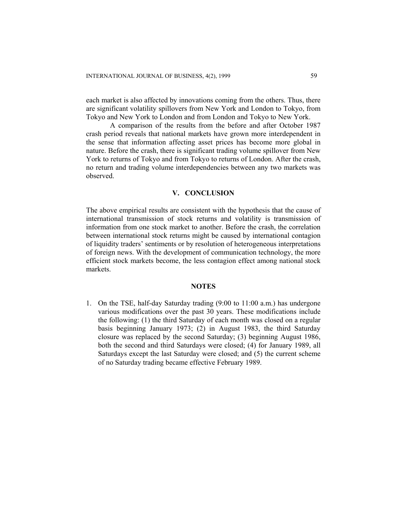each market is also affected by innovations coming from the others. Thus, there are significant volatility spillovers from New York and London to Tokyo, from Tokyo and New York to London and from London and Tokyo to New York.

A comparison of the results from the before and after October 1987 crash period reveals that national markets have grown more interdependent in the sense that information affecting asset prices has become more global in nature. Before the crash, there is significant trading volume spillover from New York to returns of Tokyo and from Tokyo to returns of London. After the crash, no return and trading volume interdependencies between any two markets was observed.

#### **V. CONCLUSION**

The above empirical results are consistent with the hypothesis that the cause of international transmission of stock returns and volatility is transmission of information from one stock market to another. Before the crash, the correlation between international stock returns might be caused by international contagion of liquidity traders' sentiments or by resolution of heterogeneous interpretations of foreign news. With the development of communication technology, the more efficient stock markets become, the less contagion effect among national stock markets.

#### **NOTES**

1. On the TSE, half-day Saturday trading (9:00 to 11:00 a.m.) has undergone various modifications over the past 30 years. These modifications include the following: (1) the third Saturday of each month was closed on a regular basis beginning January 1973; (2) in August 1983, the third Saturday closure was replaced by the second Saturday; (3) beginning August 1986, both the second and third Saturdays were closed; (4) for January 1989, all Saturdays except the last Saturday were closed; and (5) the current scheme of no Saturday trading became effective February 1989.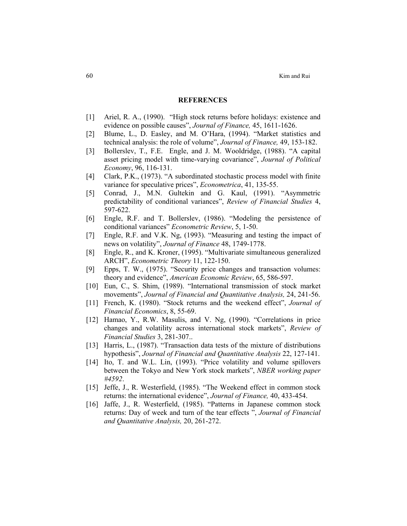#### **REFERENCES**

- [1] Ariel, R. A., (1990). "High stock returns before holidays: existence and evidence on possible causes", *Journal of Finance,* 45, 1611-1626.
- [2] Blume, L., D. Easley, and M. O'Hara, (1994). "Market statistics and technical analysis: the role of volume", *Journal of Finance,* 49, 153-182.
- [3] Bollerslev, T., F.E. Engle, and J. M. Wooldridge, (1988). "A capital asset pricing model with time-varying covariance", *Journal of Political Economy*, 96, 116-131.
- [4] Clark, P.K., (1973). "A subordinated stochastic process model with finite variance for speculative prices", *Econometrica*, 41, 135-55.
- [5] Conrad, J., M.N. Gultekin and G. Kaul, (1991). "Asymmetric predictability of conditional variances", *Review of Financial Studies* 4, 597-622.
- [6] Engle, R.F. and T. Bollerslev, (1986). "Modeling the persistence of conditional variances" *Econometric Review*, 5, 1-50.
- [7] Engle, R.F. and V.K. Ng, (1993). "Measuring and testing the impact of news on volatility", *Journal of Finance* 48, 1749-1778.
- [8] Engle, R., and K. Kroner, (1995). "Multivariate simultaneous generalized ARCH", *Econometric Theory* 11, 122-150.
- [9] Epps, T. W., (1975). "Security price changes and transaction volumes: theory and evidence", *American Economic Review*, 65, 586-597.
- [10] Eun, C., S. Shim, (1989). "International transmission of stock market movements", *Journal of Financial and Quantitative Analysis,* 24, 241-56.
- [11] French, K. (1980). "Stock returns and the weekend effect", *Journal of Financial Economics*, 8, 55-69.
- [12] Hamao, Y., R.W. Masulis, and V. Ng, (1990). "Correlations in price changes and volatility across international stock markets", *Review of Financial Studies* 3, 281-307..
- [13] Harris, L., (1987). "Transaction data tests of the mixture of distributions hypothesis", *Journal of Financial and Quantitative Analysis* 22, 127-141.
- [14] Ito, T. and W.L. Lin, (1993). "Price volatility and volume spillovers between the Tokyo and New York stock markets", *NBER working paper #4592*.
- [15] Jeffe, J., R. Westerfield, (1985). "The Weekend effect in common stock returns: the international evidence", *Journal of Finance,* 40, 433-454.
- [16] Jaffe, J., R. Westerfield, (1985). "Patterns in Japanese common stock returns: Day of week and turn of the tear effects ", *Journal of Financial and Quantitative Analysis,* 20, 261-272.